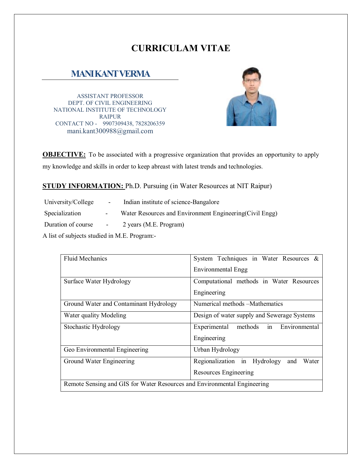# **CURRICULAM VITAE**

# **MANI KANT VERMA**

ASSISTANT PROFESSOR DEPT. OF CIVIL ENGINEERING NATIONAL INSTITUTE OF TECHNOLOGY RAIPUR CONTACT NO - 9907309438, 7828206359 mani.kant300988@gmail.com



**OBJECTIVE:** To be associated with a progressive organization that provides an opportunity to apply my knowledge and skills in order to keep abreast with latest trends and technologies.

#### **STUDY INFORMATION:** Ph.D. Pursuing (in Water Resources at NIT Raipur)

University/College - Indian institute of science-Bangalore Specialization - Water Resources and Environment Engineering(Civil Engg) Duration of course - 2 years (M.E. Program)

A list of subjects studied in M.E. Program:-

| <b>Fluid Mechanics</b>                                                   | System Techniques in Water Resources &       |  |
|--------------------------------------------------------------------------|----------------------------------------------|--|
|                                                                          | Environmental Engg                           |  |
| Surface Water Hydrology                                                  | Computational methods in Water Resources     |  |
|                                                                          | Engineering                                  |  |
| Ground Water and Contaminant Hydrology                                   | Numerical methods – Mathematics              |  |
| Water quality Modeling                                                   | Design of water supply and Sewerage Systems  |  |
| Stochastic Hydrology                                                     | Experimental<br>methods in Environmental     |  |
|                                                                          | Engineering                                  |  |
| Geo Environmental Engineering                                            | Urban Hydrology                              |  |
| Ground Water Engineering                                                 | Regionalization in Hydrology<br>Water<br>and |  |
|                                                                          | Resources Engineering                        |  |
| Remote Sensing and GIS for Water Resources and Environmental Engineering |                                              |  |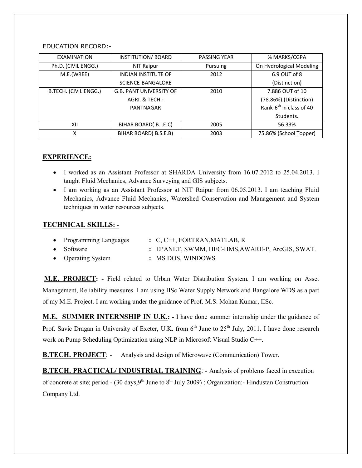#### EDUCATION RECORD:-

| <b>EXAMINATION</b>                       | <b>INSTITUTION/ BOARD</b>      | <b>PASSING YEAR</b> | % MARKS/CGPA                        |
|------------------------------------------|--------------------------------|---------------------|-------------------------------------|
| Ph.D. (CIVIL ENGG.)                      | NIT Raipur                     | Pursuing            | On Hydrological Modeling            |
| M.E.(WREE)<br><b>INDIAN INSTITUTE OF</b> |                                | 2012                | 6.9 OUT of 8                        |
|                                          | SCIENCE-BANGALORE              |                     | (Distinction)                       |
| B.TECH. (CIVIL ENGG.)                    | <b>G.B. PANT UNIVERSITY OF</b> | 2010                | 7.886 OUT of 10                     |
|                                          | AGRI. & TECH.-                 |                     | (78.86%), (Distinction)             |
|                                          | PANTNAGAR                      |                     | Rank-6 <sup>th</sup> in class of 40 |
|                                          |                                |                     | Students.                           |
| BIHAR BOARD(B.I.E.C)<br>2005<br>XII      |                                |                     | 56.33%                              |
| BIHAR BOARD(B.S.E.B)<br>χ                |                                | 2003                | 75.86% (School Topper)              |

### **EXPERIENCE:**

- I worked as an Assistant Professor at SHARDA University from 16.07.2012 to 25.04.2013. I taught Fluid Mechanics, Advance Surveying and GIS subjects.
- I am working as an Assistant Professor at NIT Raipur from 06.05.2013. I am teaching Fluid Mechanics, Advance Fluid Mechanics, Watershed Conservation and Management and System techniques in water resources subjects.

### **TECHNICAL SKILLS: -**

| • Programming Languages | $\therefore$ C, C <sup>++</sup> , FORTRAN, MATLAB, R |
|-------------------------|------------------------------------------------------|
| $\bullet$ Software      | : EPANET, SWMM, HEC-HMS, AWARE-P, ArcGIS, SWAT.      |
| • Operating System      | : MS DOS, WINDOWS                                    |

**M.E. PROJECT: -** Field related to Urban Water Distribution System. I am working on Asset Management, Reliability measures. I am using IISc Water Supply Network and Bangalore WDS as a part of my M.E. Project. I am working under the guidance of Prof. M.S. Mohan Kumar, IISc.

**M.E. SUMMER INTERNSHIP IN U.K.: -** I have done summer internship under the guidance of Prof. Savic Dragan in University of Exeter, U.K. from 6<sup>th</sup> June to 25<sup>th</sup> July, 2011. I have done research work on Pump Scheduling Optimization using NLP in Microsoft Visual Studio C++.

**B.TECH. PROJECT:** - Analysis and design of Microwave (Communication) Tower.

**B.TECH. PRACTICAL/ INDUSTRIAL TRAINING**: - Analysis of problems faced in execution of concrete at site; period - (30 days,  $9<sup>th</sup>$  June to  $8<sup>th</sup>$  July 2009); Organization:- Hindustan Construction Company Ltd.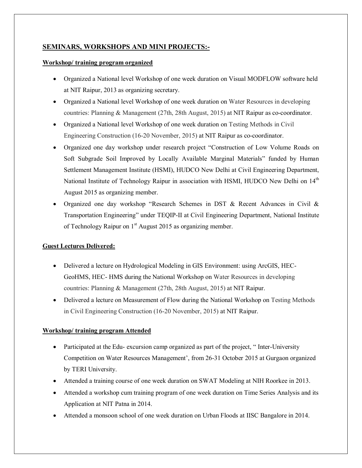### **SEMINARS, WORKSHOPS AND MINI PROJECTS:-**

#### **Workshop/ training program organized**

- Organized a National level Workshop of one week duration on Visual MODFLOW software held at NIT Raipur, 2013 as organizing secretary.
- Organized a National level Workshop of one week duration on Water Resources in developing countries: Planning & Management (27th, 28th August, 2015) at NIT Raipur as co-coordinator.
- Organized a National level Workshop of one week duration on Testing Methods in Civil Engineering Construction (16-20 November, 2015) at NIT Raipur as co-coordinator.
- Organized one day workshop under research project "Construction of Low Volume Roads on Soft Subgrade Soil Improved by Locally Available Marginal Materials" funded by Human Settlement Management Institute (HSMI), HUDCO New Delhi at Civil Engineering Department, National Institute of Technology Raipur in association with HSMI, HUDCO New Delhi on 14<sup>th</sup> August 2015 as organizing member.
- Organized one day workshop "Research Schemes in DST & Recent Advances in Civil & Transportation Engineering" under TEQIP-II at Civil Engineering Department, National Institute of Technology Raipur on  $1<sup>st</sup>$  August 2015 as organizing member.

#### **Guest Lectures Delivered:**

- Delivered a lecture on Hydrological Modeling in GIS Environment: using ArcGIS, HEC-GeoHMS, HEC- HMS during the National Workshop on Water Resources in developing countries: Planning & Management (27th, 28th August, 2015) at NIT Raipur.
- Delivered a lecture on Measurement of Flow during the National Workshop on Testing Methods in Civil Engineering Construction (16-20 November, 2015) at NIT Raipur.

#### **Workshop/ training program Attended**

- Participated at the Edu- excursion camp organized as part of the project, "Inter-University Competition on Water Resources Management', from 26-31 October 2015 at Gurgaon organized by TERI University.
- Attended a training course of one week duration on SWAT Modeling at NIH Roorkee in 2013.
- Attended a workshop cum training program of one week duration on Time Series Analysis and its Application at NIT Patna in 2014.
- Attended a monsoon school of one week duration on Urban Floods at IISC Bangalore in 2014.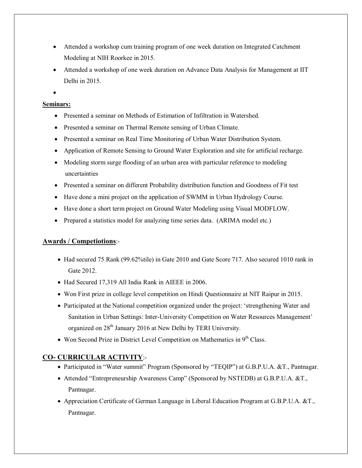- Attended a workshop cum training program of one week duration on Integrated Catchment Modeling at NIH Roorkee in 2015.
- Attended a workshop of one week duration on Advance Data Analysis for Management at IIT Delhi in 2015.

 $\bullet$ 

#### **Seminars:**

- Presented a seminar on Methods of Estimation of Infiltration in Watershed.
- Presented a seminar on Thermal Remote sensing of Urban Climate.
- Presented a seminar on Real Time Monitoring of Urban Water Distribution System.
- Application of Remote Sensing to Ground Water Exploration and site for artificial recharge.
- Modeling storm surge flooding of an urban area with particular reference to modeling uncertainties
- Presented a seminar on different Probability distribution function and Goodness of Fit test
- Have done a mini project on the application of SWMM in Urban Hydrology Course.
- Have done a short term project on Ground Water Modeling using Visual MODFLOW.
- Prepared a statistics model for analyzing time series data. (ARIMA model etc.)

## **Awards / Competiotions**:-

- Had secured 75 Rank (99.62%tile) in Gate 2010 and Gate Score 717. Also secured 1010 rank in Gate 2012.
- Had Secured 17,319 All India Rank in AIEEE in 2006.
- Won First prize in college level competition on Hindi Questionnaire at NIT Raipur in 2015.
- Participated at the National competition organized under the project: 'strengthening Water and Sanitation in Urban Settings: Inter-University Competition on Water Resources Management' organized on 28th January 2016 at New Delhi by TERI University.
- Won Second Prize in District Level Competition on Mathematics in  $9<sup>th</sup>$  Class.

# **CO- CURRICULAR ACTIVITY**:-

- Participated in "Water summit" Program (Sponsored by "TEQIP") at G.B.P.U.A. &T., Pantnagar.
- Attended "Entrepreneurship Awareness Camp" (Sponsored by NSTEDB) at G.B.P.U.A. &T., Pantnagar.
- Appreciation Certificate of German Language in Liberal Education Program at G.B.P.U.A. &T., Pantnagar.